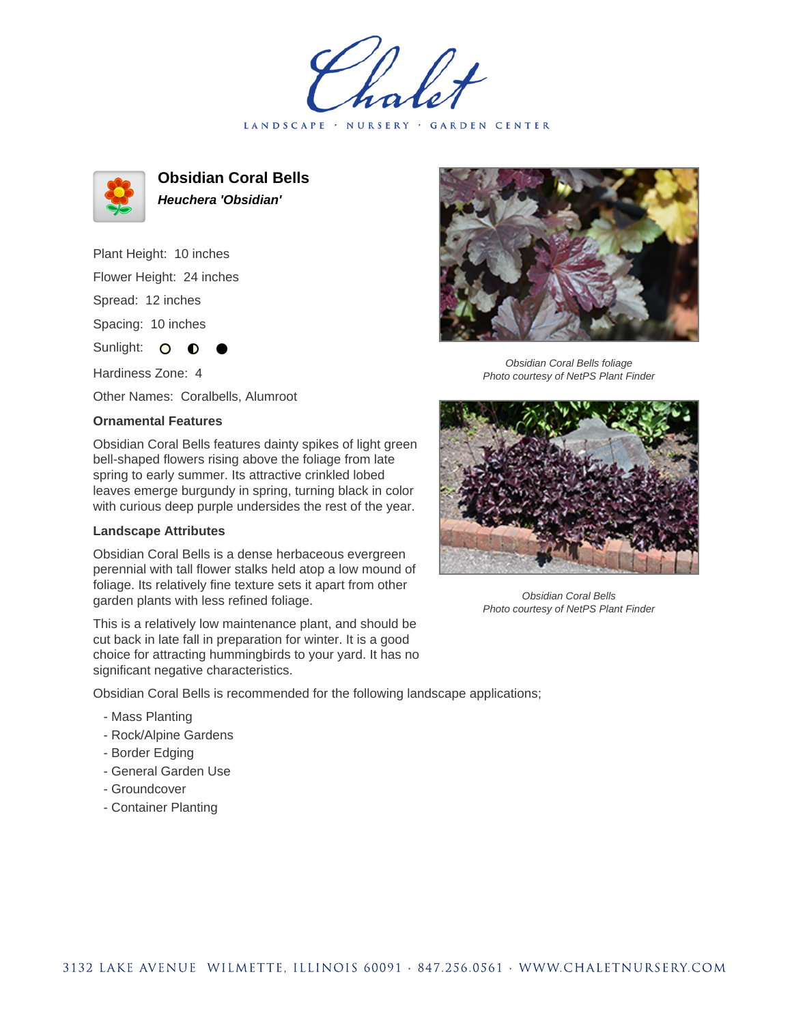LANDSCAPE · NURSERY · GARDEN CENTER



**Obsidian Coral Bells Heuchera 'Obsidian'**

Plant Height: 10 inches Flower Height: 24 inches Spread: 12 inches Spacing: 10 inches Sunlight: O **O** 

Hardiness Zone: 4

Other Names: Coralbells, Alumroot

## **Ornamental Features**

Obsidian Coral Bells features dainty spikes of light green bell-shaped flowers rising above the foliage from late spring to early summer. Its attractive crinkled lobed leaves emerge burgundy in spring, turning black in color with curious deep purple undersides the rest of the year.

## **Landscape Attributes**

Obsidian Coral Bells is a dense herbaceous evergreen perennial with tall flower stalks held atop a low mound of foliage. Its relatively fine texture sets it apart from other garden plants with less refined foliage.

This is a relatively low maintenance plant, and should be cut back in late fall in preparation for winter. It is a good choice for attracting hummingbirds to your yard. It has no significant negative characteristics.

Obsidian Coral Bells is recommended for the following landscape applications;

- Mass Planting
- Rock/Alpine Gardens
- Border Edging
- General Garden Use
- Groundcover
- Container Planting



Obsidian Coral Bells foliage Photo courtesy of NetPS Plant Finder



Obsidian Coral Bells Photo courtesy of NetPS Plant Finder